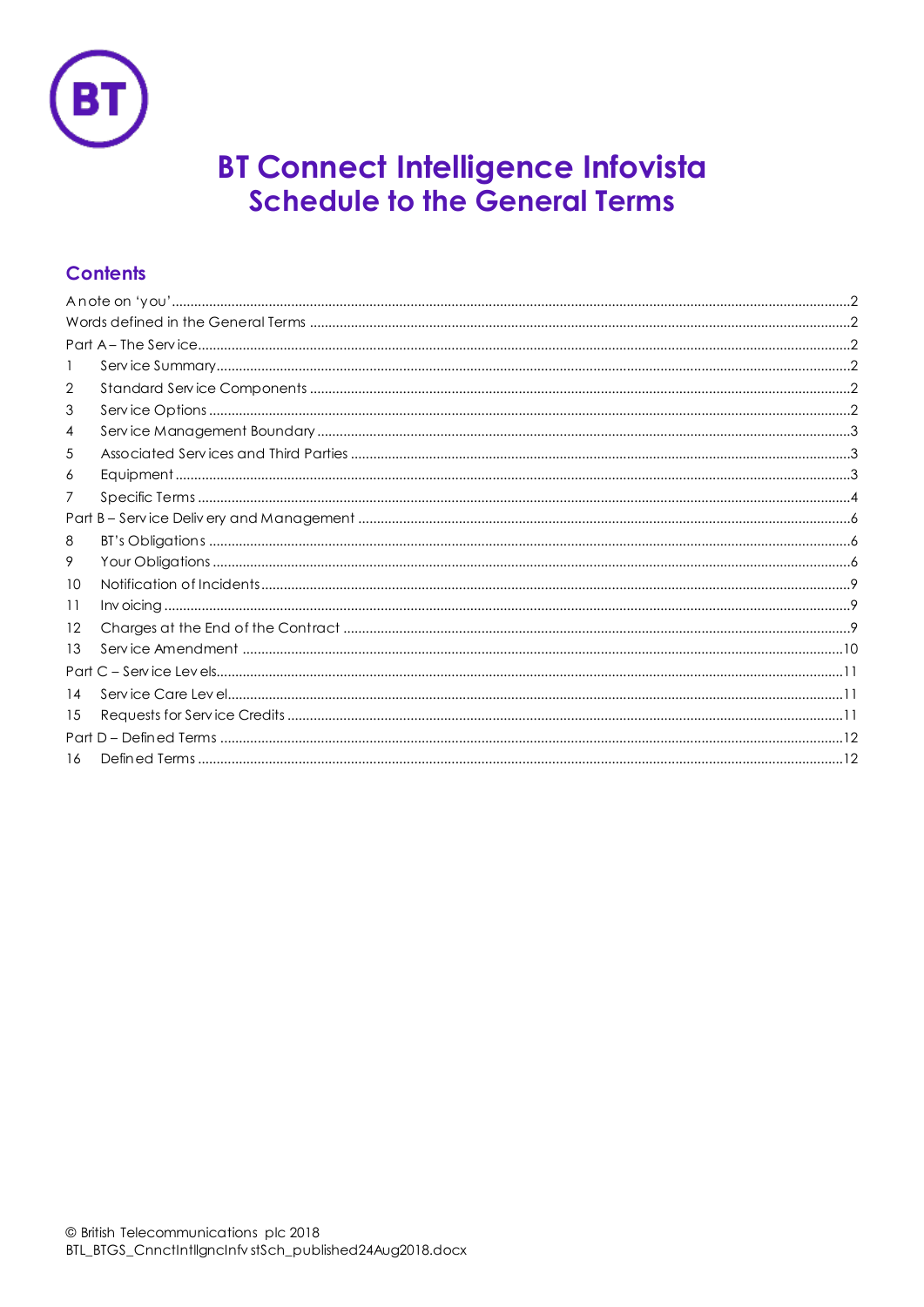

# **BT Connect Intelligence Infovista Schedule to the General Terms**

# **Contents**

| 1  |  |  |  |  |  |
|----|--|--|--|--|--|
| 2  |  |  |  |  |  |
| 3  |  |  |  |  |  |
| 4  |  |  |  |  |  |
| 5  |  |  |  |  |  |
| 6  |  |  |  |  |  |
| 7  |  |  |  |  |  |
|    |  |  |  |  |  |
| 8  |  |  |  |  |  |
| 9  |  |  |  |  |  |
| 10 |  |  |  |  |  |
| 11 |  |  |  |  |  |
| 12 |  |  |  |  |  |
| 13 |  |  |  |  |  |
|    |  |  |  |  |  |
| 14 |  |  |  |  |  |
| 15 |  |  |  |  |  |
|    |  |  |  |  |  |
| 16 |  |  |  |  |  |
|    |  |  |  |  |  |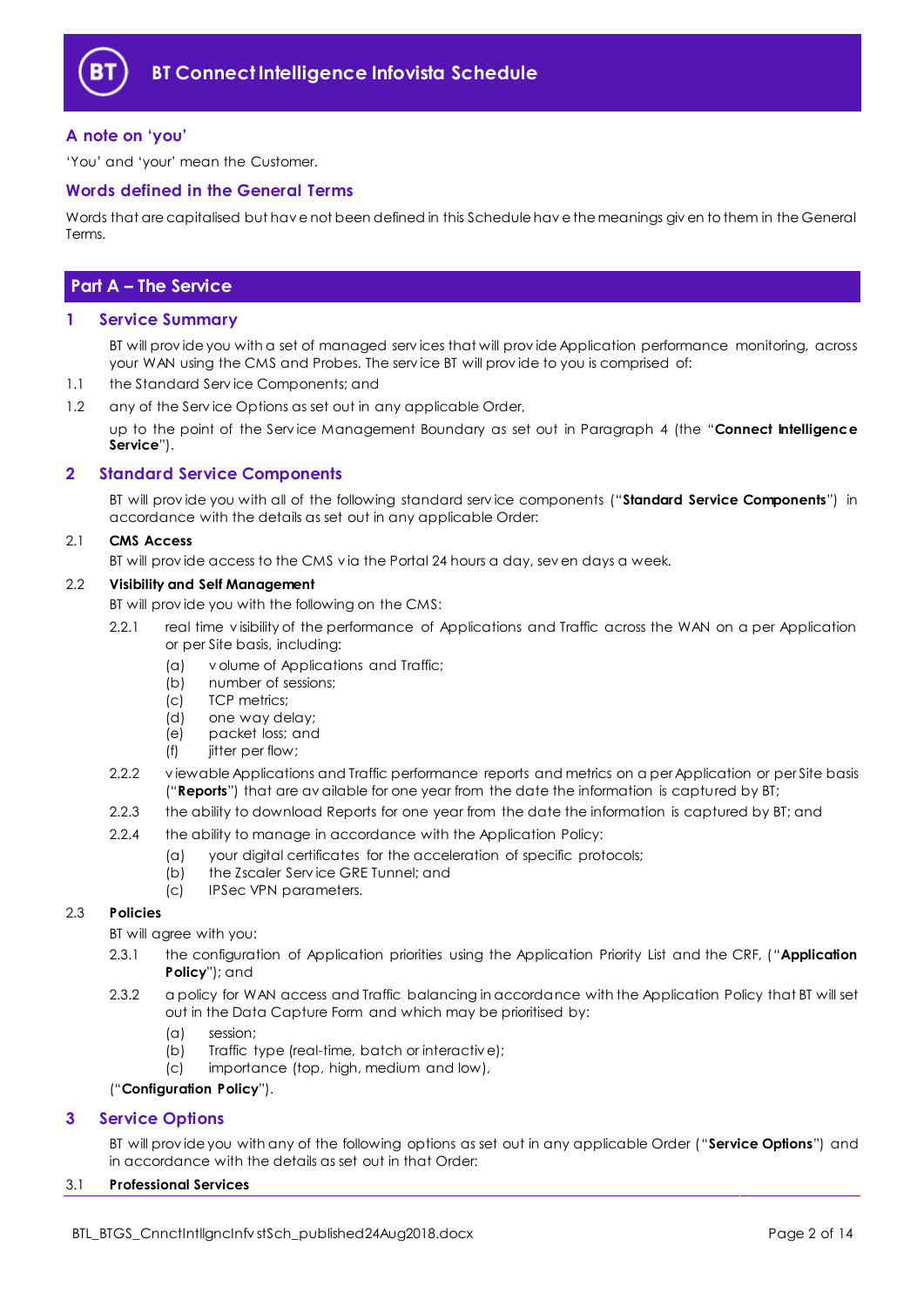

# <span id="page-1-0"></span>**A note on 'you'**

'You' and 'your' mean the Customer.

## <span id="page-1-1"></span>**Words defined in the General Terms**

Words that are capitalised but hav e not been defined in this Schedule hav e the meanings giv en to them in the General Terms.

# <span id="page-1-2"></span>**Part A – The Service**

## <span id="page-1-3"></span>**1 Service Summary**

BT will prov ide you with a set of managed serv ices that will prov ide Application performance monitoring, across your WAN using the CMS and Probes. The serv ice BT will prov ide to you is comprised of:

- 1.1 the Standard Serv ice Components; and
- 1.2 any of the Service Options as set out in any applicable Order,

up to the point of the Serv ice Management Boundary as set out in Paragraph [4](#page-2-0) (the "**Connect Intelligence Service**").

# <span id="page-1-4"></span>**2 Standard Service Components**

BT will prov ide you with all of the following standard serv ice components ("**Standard Service Components**") in accordance with the details as set out in any applicable Order:

#### 2.1 **CMS Access**

BT will prov ide access to the CMS v ia the Portal 24 hours a day, sev en days a week.

#### 2.2 **Visibility and Self Management**

BT will prov ide you with the following on the CMS:

- 2.2.1 real time v isibility of the performance of Applications and Traffic across the WAN on a per Application or per Site basis, including:
	- (a) v olume of Applications and Traffic;
	- (b) number of sessions;
	- (c) TCP metrics;
	- (d) one way delay;
	- (e) packet loss; and
	- (f) jitter per flow;
- <span id="page-1-9"></span>2.2.2 v iewable Applications and Traffic performance reports and metrics on a per Application or per Site basis ("**Reports**") that are av ailable for one year from the date the information is captured by BT;
- 2.2.3 the ability to download Reports for one year from the date the information is captured by BT; and
- 2.2.4 the ability to manage in accordance with the Application Policy:
	- (a) your digital certificates for the acceleration of specific protocols;
	- (b) the Zscaler Serv ice GRE Tunnel; and
	- (c) IPSec VPN parameters.

## <span id="page-1-6"></span>2.3 **Policies**

BT will agree with you:

- 2.3.1 the configuration of Application priorities using the Application Priority List and the CRF, ("**Application Policy**"); and
- <span id="page-1-7"></span>2.3.2 a policy for WAN access and Traffic balancing in accordance with the Application Policy that BT will set out in the Data Capture Form and which may be prioritised by:
	- (a) session;
	- (b) Traffic type (real-time, batch or interactiv e);
	- (c) importance (top, high, medium and low),

#### ("**Configuration Policy**").

#### <span id="page-1-5"></span>**3 Service Options**

BT will prov ide you with any of the following options as set out in any applicable Order ("**Service Options**") and in accordance with the details as set out in that Order:

#### <span id="page-1-8"></span>3.1 **Professional Services**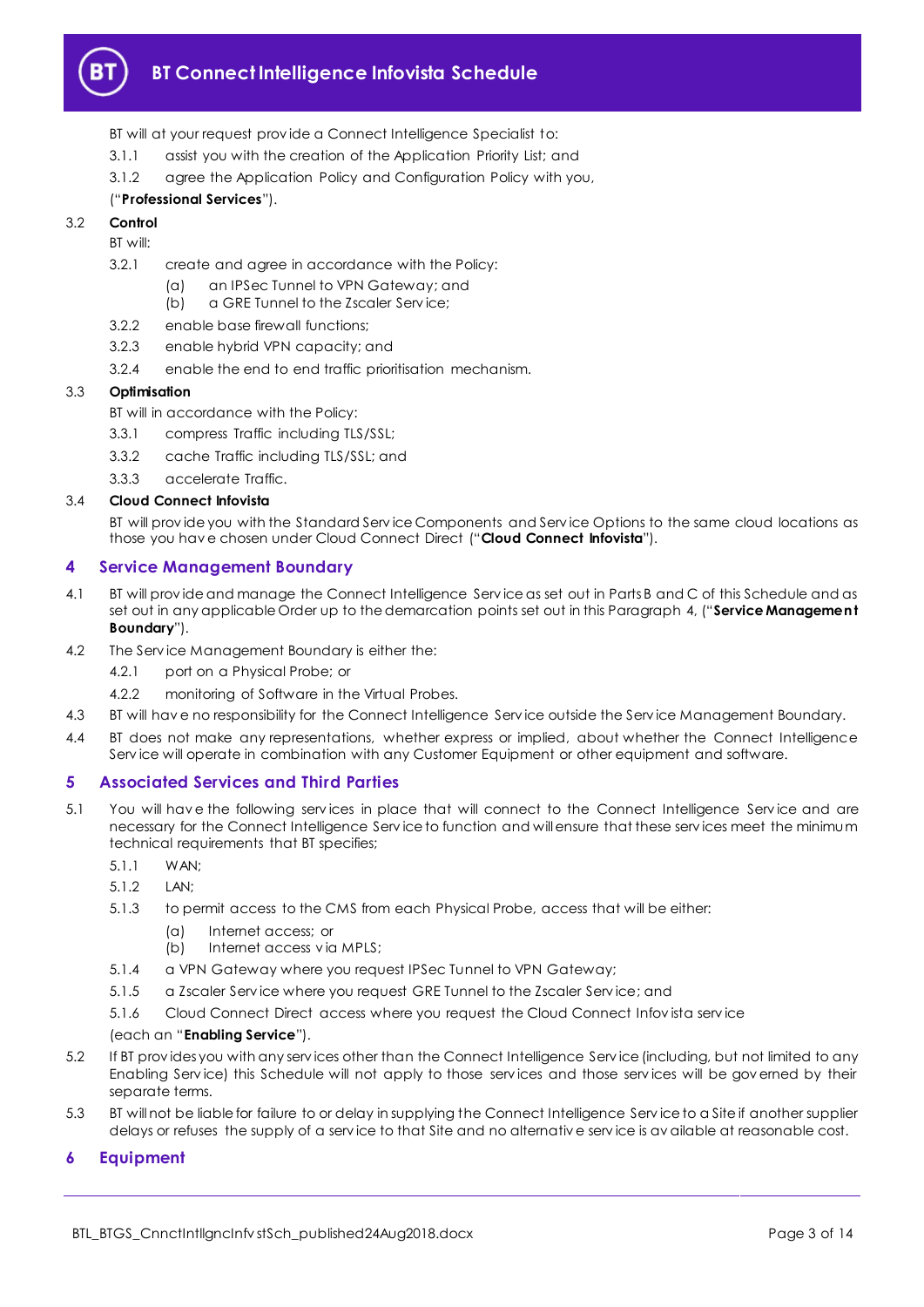

# **BT Connect Intelligence Infovista Schedule**

- BT will at your request prov ide a Connect Intelligence Specialist to:
- 3.1.1 assist you with the creation of the Application Priority List; and
- 3.1.2 agree the Application Policy and Configuration Policy with you,

# ("**Professional Services**").

# 3.2 **Control**

BT will:

- 3.2.1 create and agree in accordance with the Policy:
	- (a) an IPSec Tunnel to VPN Gateway; and
	- (b) a GRE Tunnel to the Zscaler Serv ice;
- 3.2.2 enable base firewall functions;
- 3.2.3 enable hybrid VPN capacity; and
- 3.2.4 enable the end to end traffic prioritisation mechanism.

## 3.3 **Optimisation**

BT will in accordance with the Policy:

- 3.3.1 compress Traffic including TLS/SSL;
- 3.3.2 cache Traffic including TLS/SSL; and
- 3.3.3 accelerate Traffic.

## 3.4 **Cloud Connect Infovista**

BT will prov ide you with the Standard Serv ice Components and Serv ice Options to the same cloud locations as those you hav e chosen under Cloud Connect Direct ("**Cloud Connect Infovista**").

## <span id="page-2-0"></span>**4 Service Management Boundary**

- <span id="page-2-4"></span>4.1 BT will prov ide and manage the Connect Intelligence Serv ice as set out in Parts B and C of this Schedule and as set out in any applicable Order up to the demarcation points set out in this Paragraph [4,](#page-2-0) ("**Service Management Boundary**").
- 4.2 The Serv ice Management Boundary is either the:
	- 4.2.1 port on a Physical Probe; or
	- 4.2.2 monitoring of Software in the Virtual Probes.
- 4.3 BT will hav e no responsibility for the Connect Intelligence Serv ice outside the Serv ice Management Boundary.
- 4.4 BT does not make any representations, whether express or implied, about whether the Connect Intelligence Serv ice will operate in combination with any Customer Equipment or other equipment and software.

# <span id="page-2-1"></span>**5 Associated Services and Third Parties**

<span id="page-2-3"></span>5.1 You will hav e the following serv ices in place that will connect to the Connect Intelligence Serv ice and are necessary for the Connect Intelligence Serv ice to function and will ensure that these serv ices meet the minimum technical requirements that BT specifies;

5.1.1 WAN;

- 5.1.2 LAN;
- 5.1.3 to permit access to the CMS from each Physical Probe, access that will be either:
	- (a) Internet access; or
	- (b) Internet access v ia MPLS;
- 5.1.4 a VPN Gateway where you request IPSec Tunnel to VPN Gateway;
- 5.1.5 a Zscaler Serv ice where you request GRE Tunnel to the Zscaler Serv ice; and
- 5.1.6 Cloud Connect Direct access where you request the Cloud Connect Infov ista serv ice

#### (each an "**Enabling Service**").

- 5.2 If BT prov ides you with any serv ices other than the Connect Intelligence Serv ice (including, but not limited to any Enabling Serv ice) this Schedule will not apply to those serv ices and those serv ices will be gov erned by their separate terms.
- 5.3 BT will not be liable for failure to or delay in supplying the Connect Intelligence Serv ice to a Site if another supplier delays or refuses the supply of a serv ice to that Site and no alternativ e serv ice is av ailable at reasonable cost.

# <span id="page-2-2"></span>**6 Equipment**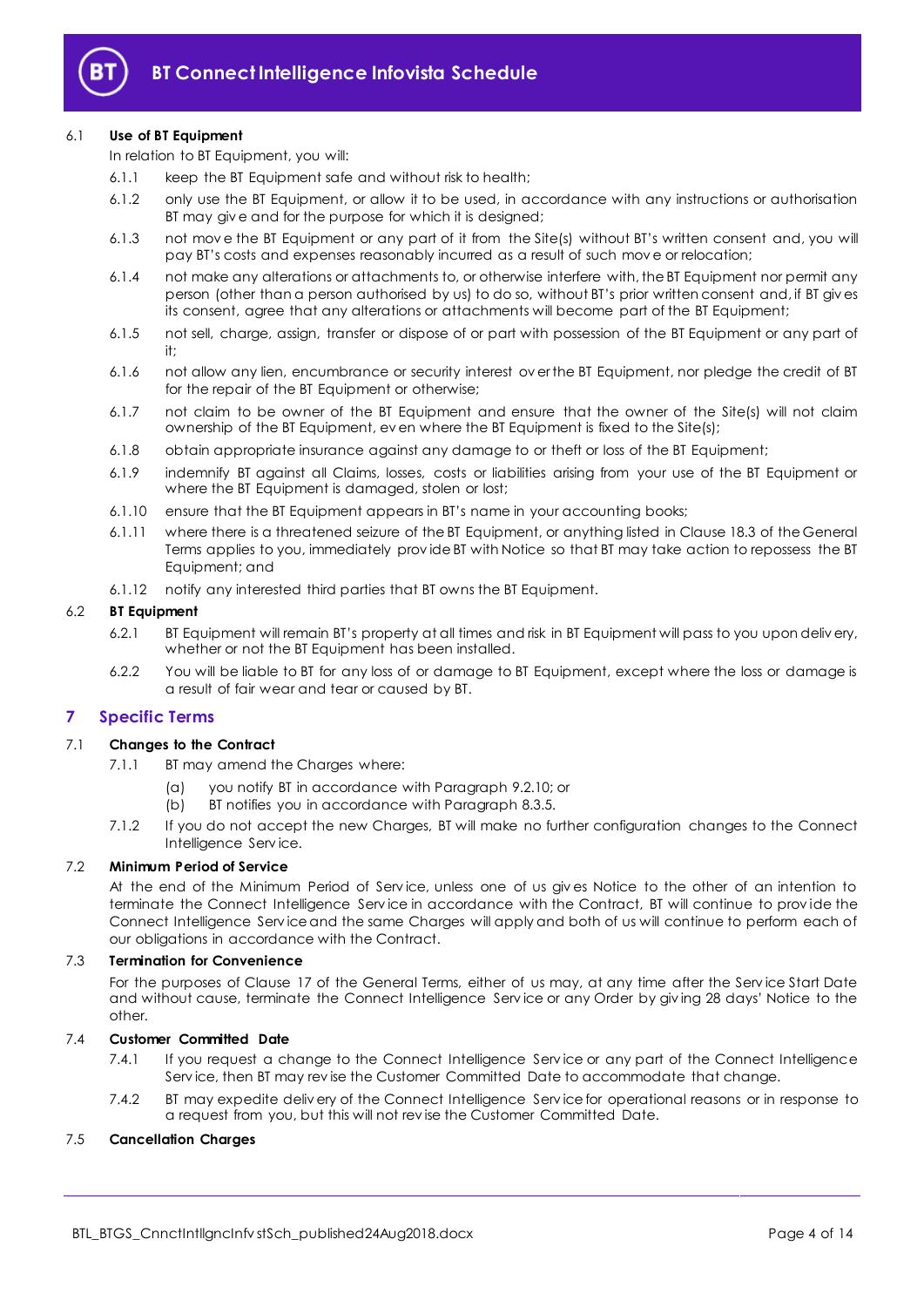

#### 6.1 **Use of BT Equipment**

In relation to BT Equipment, you will:

- 6.1.1 keep the BT Equipment safe and without risk to health;
- 6.1.2 only use the BT Equipment, or allow it to be used, in accordance with any instructions or authorisation BT may give and for the purpose for which it is designed;
- 6.1.3 not mov e the BT Equipment or any part of it from the Site(s) without BT's written consent and, you will pay BT's costs and expenses reasonably incurred as a result of such move or relocation;
- 6.1.4 not make any alterations or attachments to, or otherwise interfere with, the BT Equipment nor permit any person (other than a person authorised by us) to do so, without BT's prior written consent and, if BT giv es its consent, agree that any alterations or attachments will become part of the BT Equipment;
- 6.1.5 not sell, charge, assign, transfer or dispose of or part with possession of the BT Equipment or any part of it;
- 6.1.6 not allow any lien, encumbrance or security interest ov er the BT Equipment, nor pledge the credit of BT for the repair of the BT Equipment or otherwise;
- 6.1.7 not claim to be owner of the BT Equipment and ensure that the owner of the Site(s) will not claim ownership of the BT Equipment, ev en where the BT Equipment is fixed to the Site(s);
- 6.1.8 obtain appropriate insurance against any damage to or theft or loss of the BT Equipment;
- 6.1.9 indemnify BT against all Claims, losses, costs or liabilities arising from your use of the BT Equipment or where the BT Equipment is damaged, stolen or lost;
- 6.1.10 ensure that the BT Equipment appears in BT's name in your accounting books;
- 6.1.11 where there is a threatened seizure of the BT Equipment, or anything listed in Clause 18.3 of the General Terms applies to you, immediately prov ide BT with Notice so that BT may take action to repossess the BT Equipment; and
- 6.1.12 notify any interested third parties that BT owns the BT Equipment.

## 6.2 **BT Equipment**

- 6.2.1 BT Equipment will remain BT's property at all times and risk in BT Equipment will pass to you upon deliv ery, whether or not the BT Equipment has been installed.
- 6.2.2 You will be liable to BT for any loss of or damage to BT Equipment, except where the loss or damage is a result of fair wear and tear or caused by BT.

# <span id="page-3-0"></span>**7 Specific Terms**

#### 7.1 **Changes to the Contract**

- 7.1.1 BT may amend the Charges where:
	- (a) you notify BT in accordance with Paragraph [9.2.10;](#page-7-0) or
	- (b) BT notifies you in accordance with Paragrap[h 8.3.5.](#page-5-3)
- 7.1.2 If you do not accept the new Charges, BT will make no further configuration changes to the Connect Intelligence Serv ice.

#### 7.2 **Minimum Period of Service**

At the end of the Minimum Period of Serv ice, unless one of us giv es Notice to the other of an intention to terminate the Connect Intelligence Serv ice in accordance with the Contract, BT will continue to prov ide the Connect Intelligence Serv ice and the same Charges will apply and both of us will continue to perform each of our obligations in accordance with the Contract.

#### 7.3 **Termination for Convenience**

For the purposes of Clause 17 of the General Terms, either of us may, at any time after the Serv ice Start Date and without cause, terminate the Connect Intelligence Serv ice or any Order by giv ing 28 days' Notice to the other.

#### 7.4 **Customer Committed Date**

- 7.4.1 If you request a change to the Connect Intelligence Service or any part of the Connect Intelligence Serv ice, then BT may rev ise the Customer Committed Date to accommodate that change.
- 7.4.2 BT may expedite deliv ery of the Connect Intelligence Serv ice for operational reasons or in response to a request from you, but this will not rev ise the Customer Committed Date.

# 7.5 **Cancellation Charges**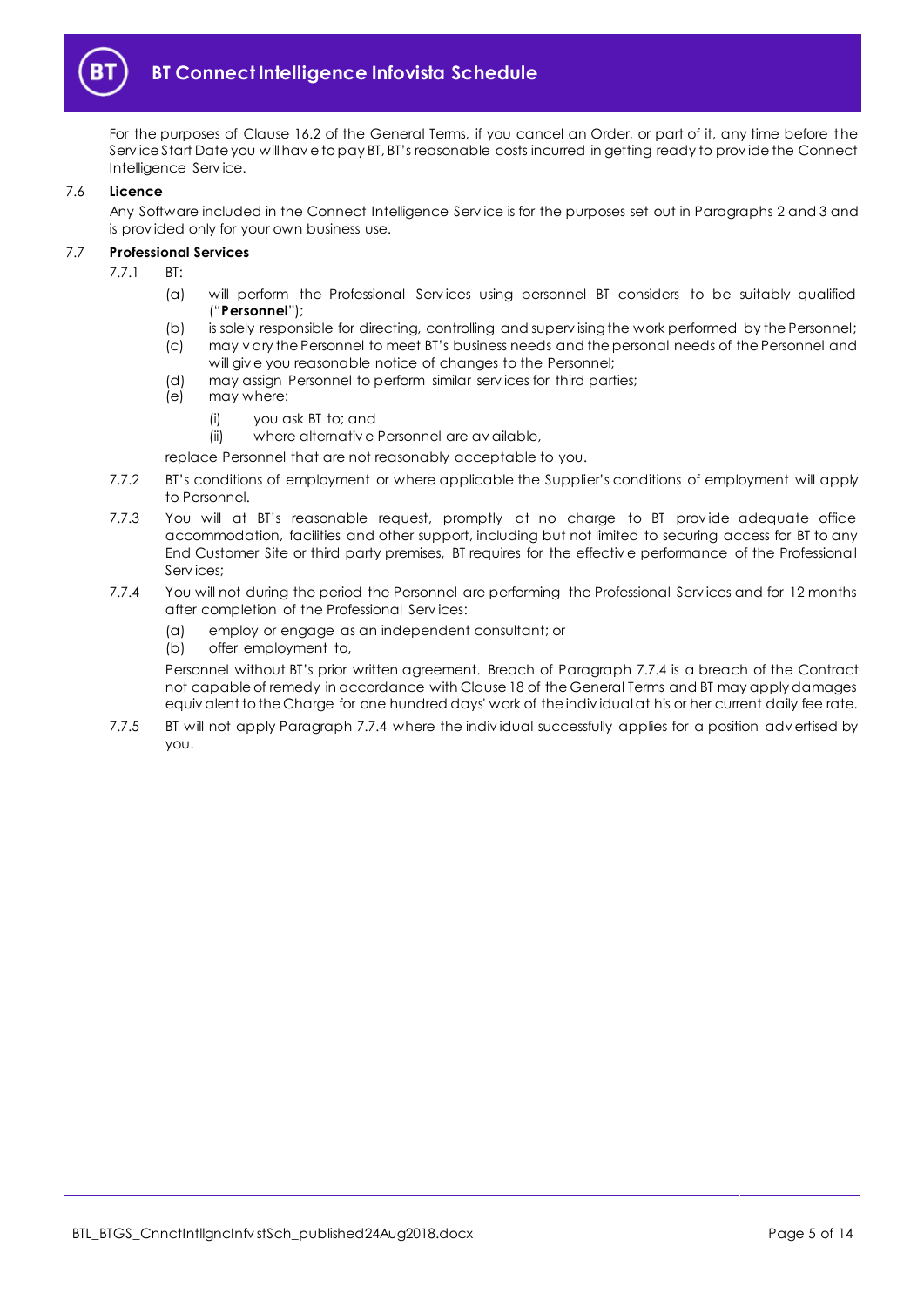

For the purposes of Clause 16.2 of the General Terms, if you cancel an Order, or part of it, any time before the Serv ice Start Date you will hav e to pay BT, BT's reasonable costs incurred in getting ready to prov ide the Connect Intelligence Serv ice.

#### 7.6 **Licence**

Any Software included in the Connect Intelligence Serv ice is for the purposes set out in Paragraph[s 2](#page-1-4) an[d 3](#page-1-5) and is prov ided only for your own business use.

## <span id="page-4-1"></span>7.7 **Professional Services**

- 7.7.1 BT:
	- (a) will perform the Professional Serv ices using personnel BT considers to be suitably qualified ("**Personnel**");
	- (b) is solely responsible for directing, controlling and superv ising the work performed by the Personnel;
	- (c) may v ary the Personnel to meet BT's business needs and the personal needs of the Personnel and will giv e you reasonable notice of changes to the Personnel;
	- (d) may assign Personnel to perform similar serv ices for third parties;
	- (e) may where:
		- (i) you ask BT to; and

(ii) where alternativ e Personnel are av ailable,

- replace Personnel that are not reasonably acceptable to you.
- 7.7.2 BT's conditions of employment or where applicable the Supplier's conditions of employment will apply to Personnel.
- 7.7.3 You will at BT's reasonable request, promptly at no charge to BT provide adequate office accommodation, facilities and other support, including but not limited to securing access for BT to any End Customer Site or third party premises, BT requires for the effectiv e performance of the Professional Serv ices;
- <span id="page-4-0"></span>7.7.4 You will not during the period the Personnel are performing the Professional Serv ices and for 12 months after completion of the Professional Serv ices:
	- (a) employ or engage as an independent consultant; or
	- (b) offer employment to,

Personnel without BT's prior written agreement. Breach of Paragraph [7.7.4](#page-4-0) is a breach of the Contract not capable of remedy in accordance with Clause 18 of the General Terms and BT may apply damages equiv alent to the Charge for one hundred days' work of the indiv idual at his or her current daily fee rate.

7.7.5 BT will not apply Paragraph [7.7.4](#page-4-0) where the indiv idual successfully applies for a position adv ertised by you.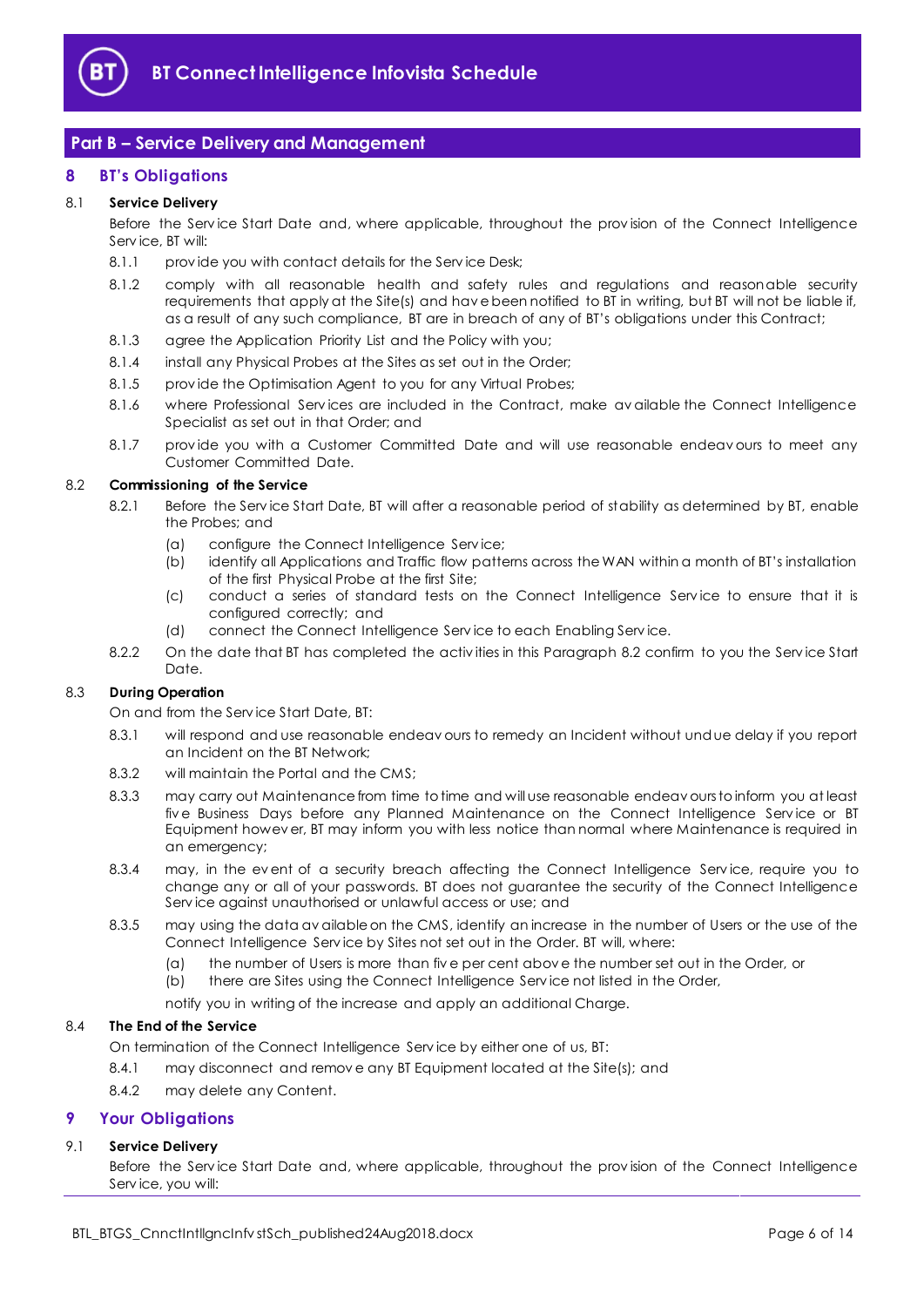

# <span id="page-5-0"></span>**Part B – Service Delivery and Management**

# <span id="page-5-1"></span>**8 BT's Obligations**

# 8.1 **Service Delivery**

Before the Serv ice Start Date and, where applicable, throughout the prov ision of the Connect Intelligence Serv ice, BT will:

- 8.1.1 provide you with contact details for the Service Desk;
- 8.1.2 comply with all reasonable health and safety rules and regulations and reasonable security requirements that apply at the Site(s) and hav e been notified to BT in writing, but BT will not be liable if, as a result of any such compliance, BT are in breach of any of BT's obligations under this Contract;
- 8.1.3 agree the Application Priority List and the Policy with you;
- 8.1.4 install any Physical Probes at the Sites as set out in the Order;
- 8.1.5 provide the Optimisation Agent to you for any Virtual Probes;
- 8.1.6 where Professional Services are included in the Contract, make available the Connect Intelligence Specialist as set out in that Order; and
- 8.1.7 prov ide you with a Customer Committed Date and will use reasonable endeav ours to meet any Customer Committed Date.

## <span id="page-5-4"></span>8.2 **Commissioning of the Service**

- 8.2.1 Before the Service Start Date, BT will after a reasonable period of stability as determined by BT, enable the Probes; and
	- (a) configure the Connect Intelligence Serv ice;
	- (b) identify all Applications and Traffic flow patterns across the WAN within a month of BT's installation of the first Physical Probe at the first Site;
	- (c) conduct a series of standard tests on the Connect Intelligence Serv ice to ensure that it is configured correctly; and
	- (d) connect the Connect Intelligence Serv ice to each Enabling Serv ice.
- 8.2.2 On the date that BT has completed the activities in this Paragraph [8.2](#page-5-4) confirm to you the Service Start Date.

# 8.3 **During Operation**

On and from the Serv ice Start Date, BT:

- 8.3.1 will respond and use reasonable endeav ours to remedy an Incident without undue delay if you report an Incident on the BT Network;
- 8.3.2 will maintain the Portal and the CMS;
- 8.3.3 may carry out Maintenance from time to time and will use reasonable endeav ours to inform you at least five Business Days before any Planned Maintenance on the Connect Intelligence Service or BT Equipment howev er, BT may inform you with less notice than normal where Maintenance is required in an emergency;
- 8.3.4 may, in the event of a security breach affecting the Connect Intelligence Service, require you to change any or all of your passwords. BT does not guarantee the security of the Connect Intelligence Serv ice against unauthorised or unlawful access or use; and
- <span id="page-5-3"></span>8.3.5 may using the data av ailable on the CMS, identify an increase in the number of Users or the use of the Connect Intelligence Serv ice by Sites not set out in the Order. BT will, where:
	- (a) the number of Users is more than fiv e per cent abov e the number set out in the Order, or
	- (b) there are Sites using the Connect Intelligence Serv ice not listed in the Order,
	- notify you in writing of the increase and apply an additional Charge.

#### 8.4 **The End of the Service**

On termination of the Connect Intelligence Serv ice by either one of us, BT:

- 8.4.1 may disconnect and remov e any BT Equipment located at the Site(s); and
- 8.4.2 may delete any Content.

# <span id="page-5-2"></span>**9 Your Obligations**

# 9.1 **Service Delivery**

Before the Serv ice Start Date and, where applicable, throughout the prov ision of the Connect Intelligence Serv ice, you will: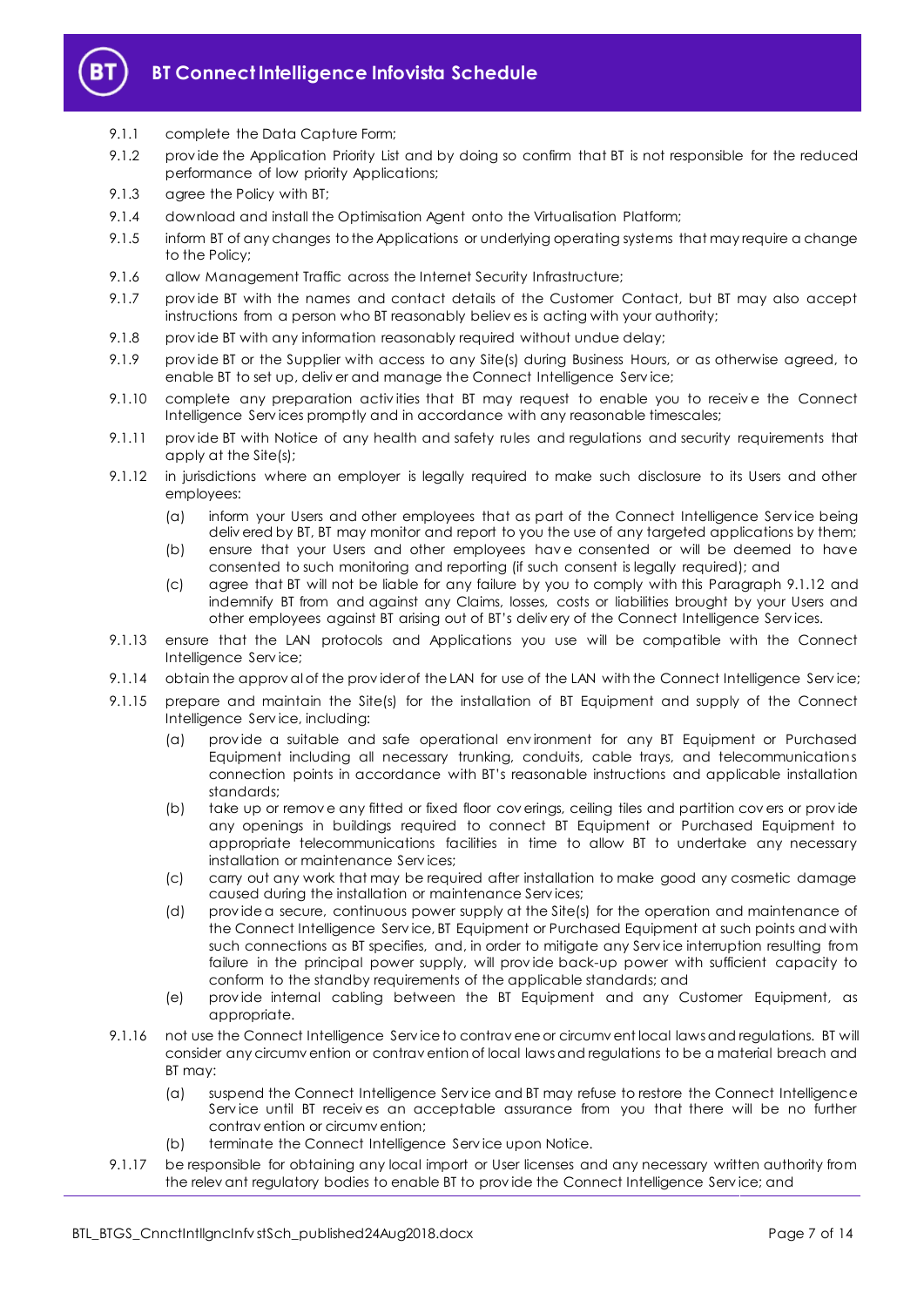

## 9.1.1 complete the Data Capture Form;

- 9.1.2 prov ide the Application Priority List and by doing so confirm that BT is not responsible for the reduced performance of low priority Applications;
- 9.1.3 agree the Policy with BT;
- 9.1.4 download and install the Optimisation Agent onto the Virtualisation Platform;
- 9.1.5 inform BT of any changes to the Applications or underlying operating systems that may require a change to the Policy;
- 9.1.6 allow Management Traffic across the Internet Security Infrastructure;
- 9.1.7 prov ide BT with the names and contact details of the Customer Contact, but BT may also accept instructions from a person who BT reasonably believ es is acting with your authority;
- 9.1.8 prov ide BT with any information reasonably required without undue delay;
- 9.1.9 prov ide BT or the Supplier with access to any Site(s) during Business Hours, or as otherwise agreed, to enable BT to set up, deliv er and manage the Connect Intelligence Serv ice;
- 9.1.10 complete any preparation activities that BT may request to enable you to receive the Connect Intelligence Serv ices promptly and in accordance with any reasonable timescales;
- 9.1.11 prov ide BT with Notice of any health and safety rules and regulations and security requirements that apply at the Site(s);
- <span id="page-6-0"></span>9.1.12 in jurisdictions where an employer is legally required to make such disclosure to its Users and other employees:
	- (a) inform your Users and other employees that as part of the Connect Intelligence Serv ice being deliv ered by BT, BT may monitor and report to you the use of any targeted applications by them;
	- (b) ensure that your Users and other employees hav e consented or will be deemed to have consented to such monitoring and reporting (if such consent is legally required); and
	- (c) agree that BT will not be liable for any failure by you to comply with this Paragraph [9.1.12](#page-6-0) and indemnify BT from and against any Claims, losses, costs or liabilities brought by your Users and other employees against BT arising out of BT's deliv ery of the Connect Intelligence Serv ices.
- 9.1.13 ensure that the LAN protocols and Applications you use will be compatible with the Connect Intelligence Serv ice;
- 9.1.14 obtain the approv al of the provider of the LAN for use of the LAN with the Connect Intelligence Service;
- 9.1.15 prepare and maintain the Site(s) for the installation of BT Equipment and supply of the Connect Intelligence Serv ice, including:
	- (a) prov ide a suitable and safe operational env ironment for any BT Equipment or Purchased Equipment including all necessary trunking, conduits, cable trays, and telecommunications connection points in accordance with BT's reasonable instructions and applicable installation standards;
	- (b) take up or remov e any fitted or fixed floor cov erings, ceiling tiles and partition cov ers or prov ide any openings in buildings required to connect BT Equipment or Purchased Equipment to appropriate telecommunications facilities in time to allow BT to undertake any necessary installation or maintenance Serv ices;
	- (c) carry out any work that may be required after installation to make good any cosmetic damage caused during the installation or maintenance Serv ices;
	- (d) prov ide a secure, continuous power supply at the Site(s) for the operation and maintenance of the Connect Intelligence Serv ice, BT Equipment or Purchased Equipment at such points and with such connections as BT specifies, and, in order to mitigate any Serv ice interruption resulting from failure in the principal power supply, will prov ide back-up power with sufficient capacity to conform to the standby requirements of the applicable standards; and
	- (e) prov ide internal cabling between the BT Equipment and any Customer Equipment, as appropriate.
- <span id="page-6-1"></span>9.1.16 not use the Connect Intelligence Serv ice to contrav ene or circumv ent local laws and regulations. BT will consider any circumv ention or contrav ention of local laws and regulations to be a material breach and BT may:
	- (a) suspend the Connect Intelligence Serv ice and BT may refuse to restore the Connect Intelligence Serv ice until BT receiv es an acceptable assurance from you that there will be no further contrav ention or circumv ention;
	- (b) terminate the Connect Intelligence Serv ice upon Notice.
- 9.1.17 be responsible for obtaining any local import or User licenses and any necessary written authority from the relev ant regulatory bodies to enable BT to prov ide the Connect Intelligence Serv ice; and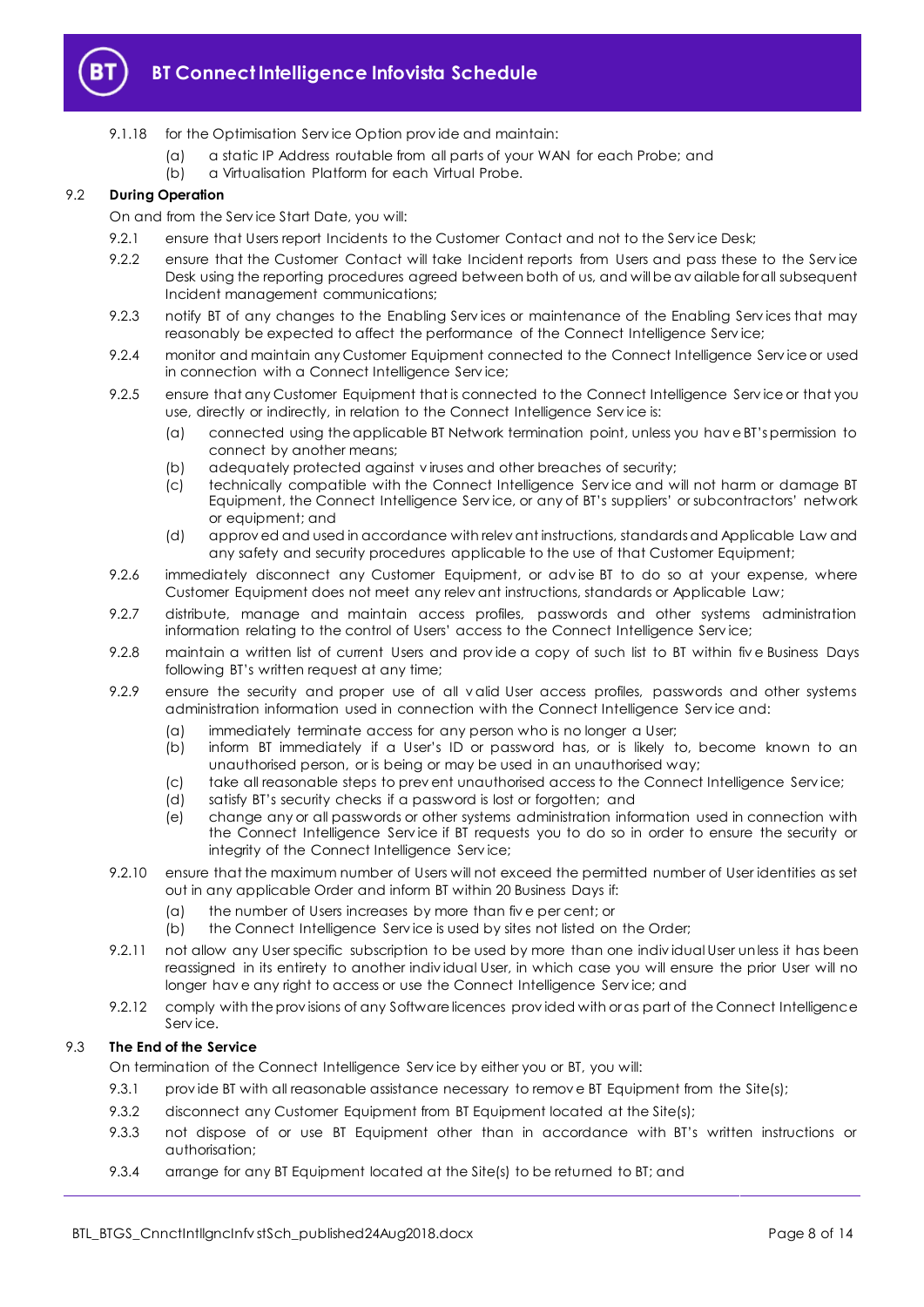

- 9.1.18 for the Optimisation Service Option provide and maintain:
	- (a) a static IP Address routable from all parts of your WAN for each Probe; and
		- (b) a Virtualisation Platform for each Virtual Probe.

# 9.2 **During Operation**

## On and from the Serv ice Start Date, you will:

- 9.2.1 ensure that Users report Incidents to the Customer Contact and not to the Service Desk;
- 9.2.2 ensure that the Customer Contact will take Incident reports from Users and pass these to the Service Desk using the reporting procedures agreed between both of us, and will be av ailable for all subsequent Incident management communications;
- <span id="page-7-1"></span>9.2.3 notify BT of any changes to the Enabling Services or maintenance of the Enabling Services that may reasonably be expected to affect the performance of the Connect Intelligence Service;
- 9.2.4 monitor and maintain any Customer Equipment connected to the Connect Intelligence Serv ice or used in connection with a Connect Intelligence Serv ice;
- 9.2.5 ensure that any Customer Equipment that is connected to the Connect Intelligence Service or that you use, directly or indirectly, in relation to the Connect Intelligence Serv ice is:
	- (a) connected using the applicable BT Network termination point, unless you hav e BT's permission to connect by another means;
	- (b) adequately protected against v iruses and other breaches of security;
	- (c) technically compatible with the Connect Intelligence Serv ice and will not harm or damage BT Equipment, the Connect Intelligence Serv ice, or any of BT's suppliers' or subcontractors' network or equipment; and
	- (d) approv ed and used in accordance with relev ant instructions, standards and Applicable Law and any safety and security procedures applicable to the use of that Customer Equipment;
- 9.2.6 immediately disconnect any Customer Equipment, or adv ise BT to do so at your expense, where Customer Equipment does not meet any relev ant instructions, standards or Applicable Law;
- 9.2.7 distribute, manage and maintain access profiles, passwords and other systems administration information relating to the control of Users' access to the Connect Intelligence Serv ice;
- 9.2.8 maintain a written list of current Users and provide a copy of such list to BT within five Business Days following BT's written request at any time;
- 9.2.9 ensure the security and proper use of all v alid User access profiles, passwords and other systems administration information used in connection with the Connect Intelligence Serv ice and:
	- (a) immediately terminate access for any person who is no longer a User;<br>(b) inform BT immediately if a User's ID or password has, or is likely t
	- inform BT immediately if a User's ID or password has, or is likely to, become known to an unauthorised person, or is being or may be used in an unauthorised way;
	- (c) take all reasonable steps to prev ent unauthorised access to the Connect Intelligence Serv ice;
	- (d) satisfy BT's security checks if a password is lost or forgotten; and
	- (e) change any or all passwords or other systems administration information used in connection with the Connect Intelligence Serv ice if BT requests you to do so in order to ensure the security or integrity of the Connect Intelligence Serv ice;
- <span id="page-7-0"></span>9.2.10 ensure that the maximum number of Users will not exceed the permitted number of User identities as set out in any applicable Order and inform BT within 20 Business Days if:
	- (a) the number of Users increases by more than fiv e per cent; or
	- (b) the Connect Intelligence Serv ice is used by sites not listed on the Order;
- 9.2.11 not allow any User specific subscription to be used by more than one indiv idual User unless it has been reassigned in its entirety to another indiv idual User, in which case you will ensure the prior User will no longer hav e any right to access or use the Connect Intelligence Serv ice; and
- 9.2.12 comply with the prov isions of any Software licences prov ided with or as part of the Connect Intelligence Serv ice.

# 9.3 **The End of the Service**

On termination of the Connect Intelligence Serv ice by either you or BT, you will:

- 9.3.1 provide BT with all reasonable assistance necessary to remove BT Equipment from the Site(s);
- 9.3.2 disconnect any Customer Equipment from BT Equipment located at the Site(s);
- 9.3.3 not dispose of or use BT Equipment other than in accordance with BT's written instructions or authorisation;
- 9.3.4 arrange for any BT Equipment located at the Site(s) to be returned to BT; and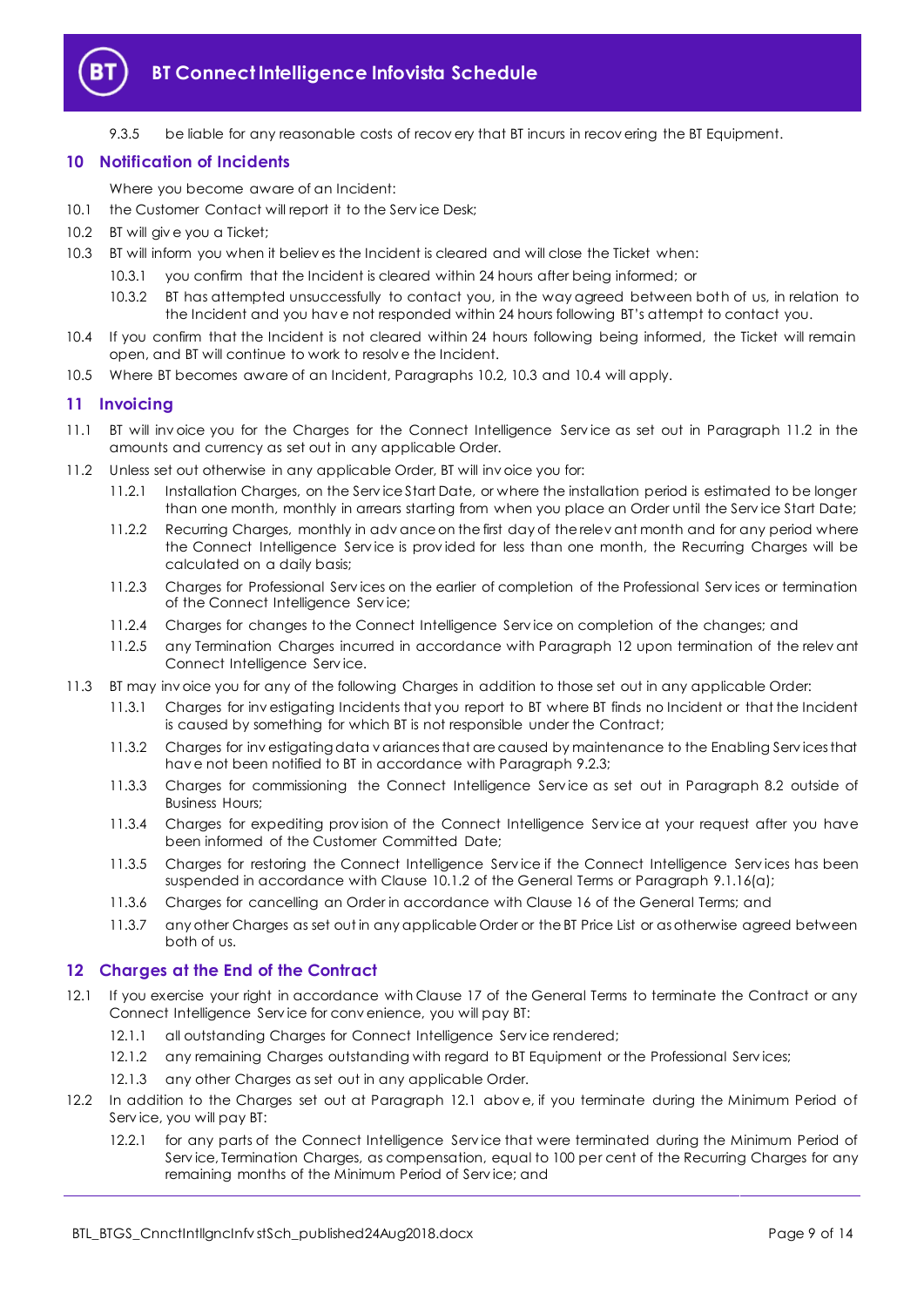

9.3.5 be liable for any reasonable costs of recovery that BT incurs in recovering the BT Equipment.

# <span id="page-8-0"></span>**10 Notification of Incidents**

Where you become aware of an Incident:

- 10.1 the Customer Contact will report it to the Service Desk;
- <span id="page-8-3"></span>10.2 BT will give you a Ticket;
- <span id="page-8-4"></span>10.3 BT will inform you when it believ es the Incident is cleared and will close the Ticket when:
	- 10.3.1 you confirm that the Incident is cleared within 24 hours after being informed; or
	- 10.3.2 BT has attempted unsuccessfully to contact you, in the way agreed between both of us, in relation to the Incident and you hav e not responded within 24 hours following BT's attempt to contact you.
- <span id="page-8-5"></span>10.4 If you confirm that the Incident is not cleared within 24 hours following being informed, the Ticket will remain open, and BT will continue to work to resolv e the Incident.
- 10.5 Where BT becomes aware of an Incident, Paragraphs [10.2,](#page-8-3) [10.3](#page-8-4) and [10.4](#page-8-5) will apply.

# <span id="page-8-1"></span>**11 Invoicing**

- 11.1 BT will inv oice you for the Charges for the Connect Intelligence Serv ice as set out in Paragraph [11.2](#page-8-6) in the amounts and currency as set out in any applicable Order.
- <span id="page-8-6"></span>11.2 Unless set out otherwise in any applicable Order, BT will inv oice you for:
	- 11.2.1 Installation Charges, on the Serv ice Start Date, or where the installation period is estimated to be longer than one month, monthly in arrears starting from when you place an Order until the Serv ice Start Date;
	- 11.2.2 Recurring Charges, monthly in adv ance on the first day of the relev ant month and for any period where the Connect Intelligence Service is provided for less than one month, the Recurring Charges will be calculated on a daily basis;
	- 11.2.3 Charges for Professional Serv ices on the earlier of completion of the Professional Serv ices or termination of the Connect Intelligence Serv ice;
	- 11.2.4 Charges for changes to the Connect Intelligence Serv ice on completion of the changes; and
	- 11.2.5 any Termination Charges incurred in accordance with Paragraph [12](#page-8-2) upon termination of the relev ant Connect Intelligence Serv ice.
- 11.3 BT may inv oice you for any of the following Charges in addition to those set out in any applicable Order:
	- 11.3.1 Charges for inv estigating Incidents that you report to BT where BT finds no Incident or that the Incident is caused by something for which BT is not responsible under the Contract;
	- 11.3.2 Charges for inv estigating data v ariances that are caused by maintenance to the Enabling Serv ices that hav e not been notified to BT in accordance with Paragrap[h 9.2.3;](#page-7-1)
	- 11.3.3 Charges for commissioning the Connect Intelligence Serv ice as set out in Paragraph [8.2](#page-5-4) outside of Business Hours;
	- 11.3.4 Charges for expediting prov ision of the Connect Intelligence Serv ice at your request after you have been informed of the Customer Committed Date;
	- 11.3.5 Charges for restoring the Connect Intelligence Serv ice if the Connect Intelligence Serv ices has been suspended in accordance with Clause 10.1.2 of the General Terms or Paragraph [9.1.16\(a\);](#page-6-1)
	- 11.3.6 Charges for cancelling an Order in accordance with Clause 16 of the General Terms; and
	- 11.3.7 any other Charges as set out in any applicable Order or the BT Price List or as otherwise agreed between both of us.

# <span id="page-8-2"></span>**12 Charges at the End of the Contract**

- <span id="page-8-7"></span>12.1 If you exercise your right in accordance with Clause 17 of the General Terms to terminate the Contract or any Connect Intelligence Serv ice for conv enience, you will pay BT:
	- 12.1.1 all outstanding Charges for Connect Intelligence Service rendered;
	- 12.1.2 any remaining Charges outstanding with regard to BT Equipment or the Professional Serv ices;
	- 12.1.3 any other Charges as set out in any applicable Order.
- 12.2 In addition to the Charges set out at Paragraph [12.1](#page-8-7) abov e, if you terminate during the Minimum Period of Serv ice, you will pay BT:
	- 12.2.1 for any parts of the Connect Intelligence Serv ice that were terminated during the Minimum Period of Service, Termination Charges, as compensation, equal to 100 per cent of the Recurring Charges for any remaining months of the Minimum Period of Serv ice; and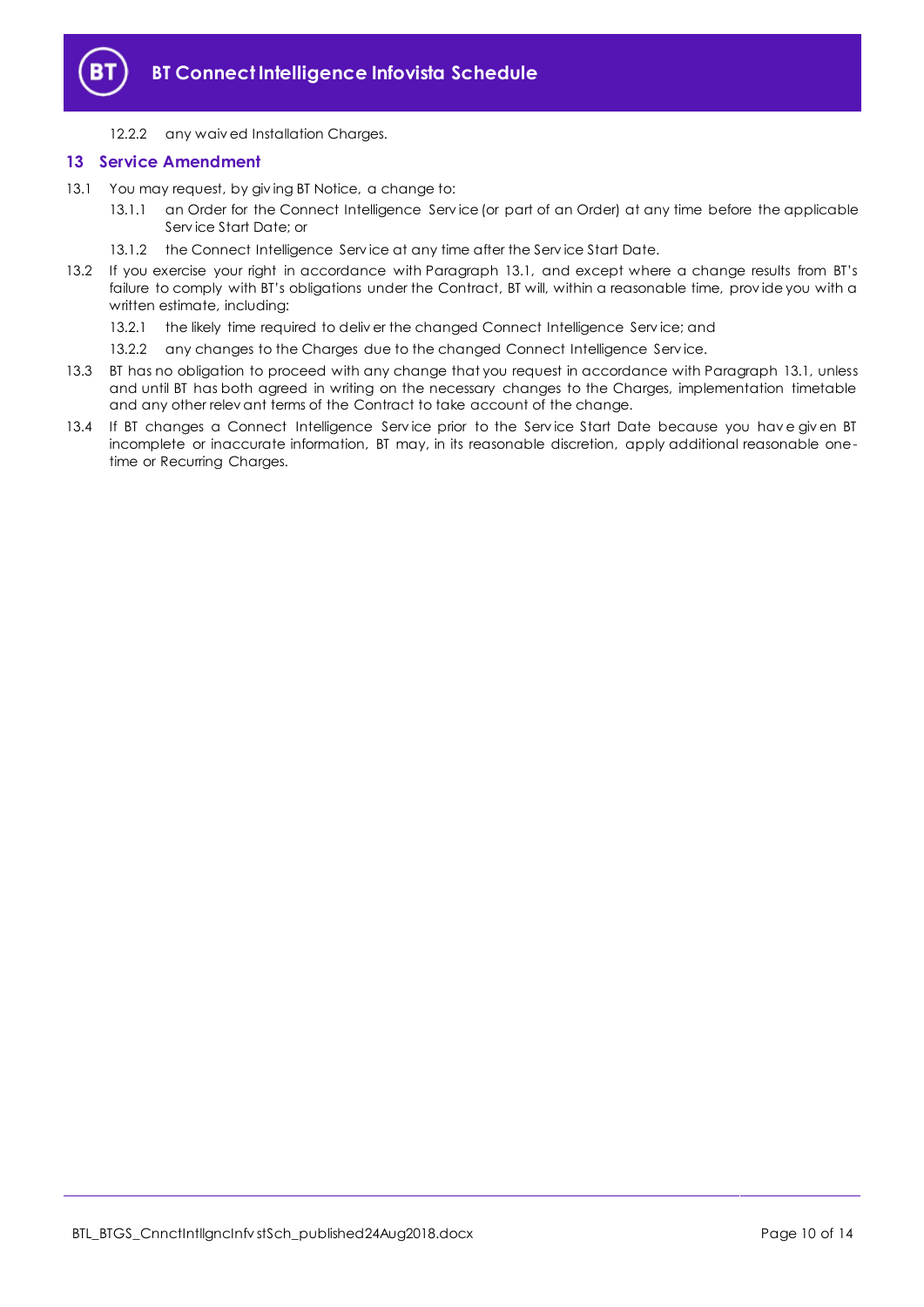

12.2.2 any waiv ed Installation Charges.

# <span id="page-9-0"></span>**13 Service Amendment**

- <span id="page-9-1"></span>13.1 You may request, by giv ing BT Notice, a change to:
	- 13.1.1 an Order for the Connect Intelligence Serv ice (or part of an Order) at any time before the applicable Serv ice Start Date; or
	- 13.1.2 the Connect Intelligence Serv ice at any time after the Serv ice Start Date.
- 13.2 If you exercise your right in accordance with Paragraph [13.1](#page-9-1), and except where a change results from BT's failure to comply with BT's obligations under the Contract, BT will, within a reasonable time, prov ide you with a written estimate, including:
	- 13.2.1 the likely time required to deliver the changed Connect Intelligence Service; and
	- 13.2.2 any changes to the Charges due to the changed Connect Intelligence Service.
- 13.3 BT has no obligation to proceed with any change that you request in accordance with Paragraph [13.1,](#page-9-1) unless and until BT has both agreed in writing on the necessary changes to the Charges, implementation timetable and any other relev ant terms of the Contract to take account of the change.
- 13.4 If BT changes a Connect Intelligence Serv ice prior to the Serv ice Start Date because you hav e giv en BT incomplete or inaccurate information, BT may, in its reasonable discretion, apply additional reasonable onetime or Recurring Charges.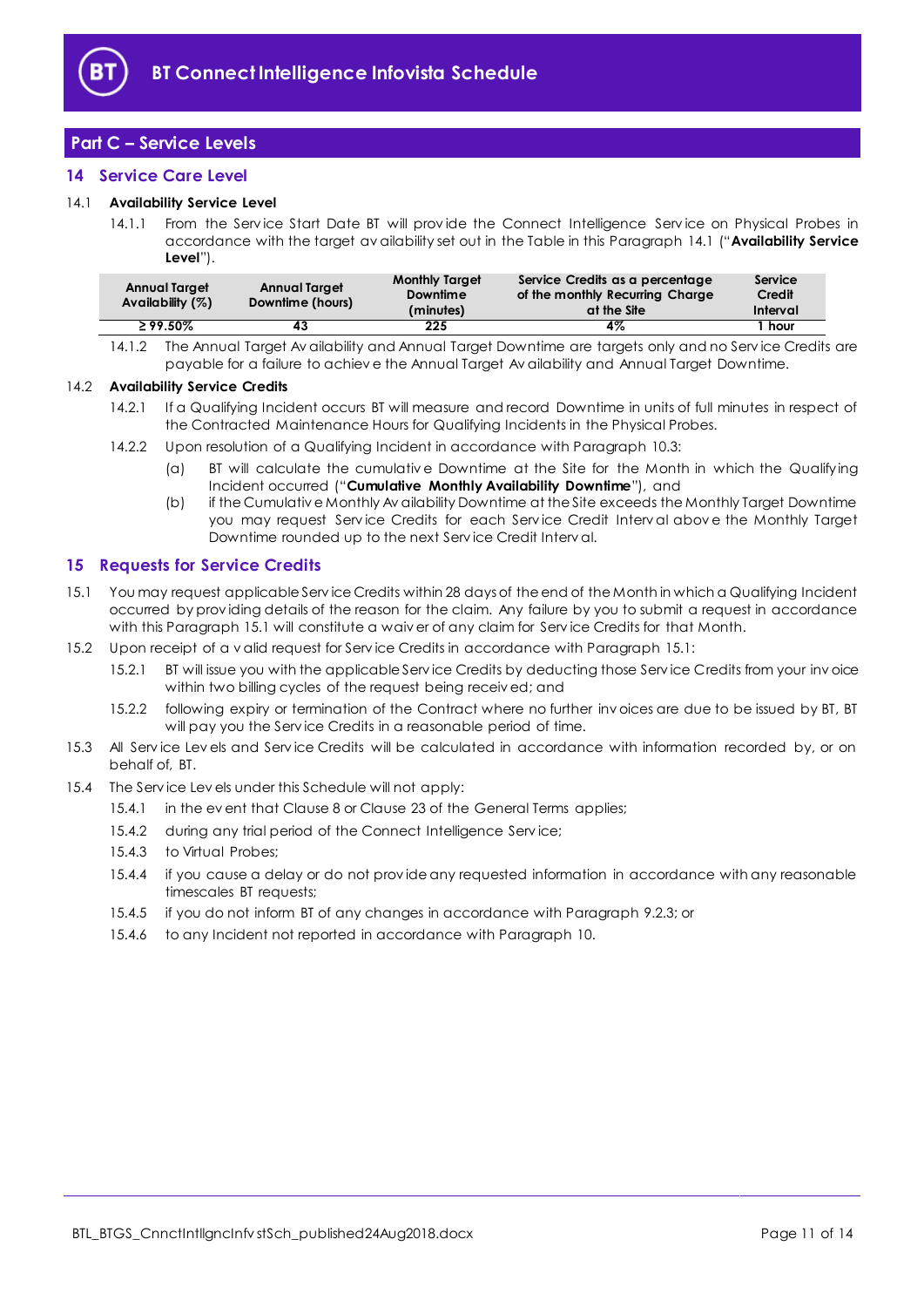

# <span id="page-10-0"></span>**Part C – Service Levels**

# <span id="page-10-1"></span>**14 Service Care Level**

## <span id="page-10-5"></span><span id="page-10-3"></span>14.1 **Availability Service Level**

14.1.1 From the Service Start Date BT will provide the Connect Intelligence Service on Physical Probes in accordance with the target av ailability set out in the Table in this Paragraph [14.1](#page-10-3) ("**Availability Service Level**").

| <b>Annual Target</b><br>Availability $(%)$ | <b>Annual Target</b><br>Downtime (hours) | <b>Monthly Target</b><br>Downtime<br>(minutes) | Service Credits as a percentage<br>of the monthly Recurring Charge<br>at the Site | Service<br>Credit<br>Interval |
|--------------------------------------------|------------------------------------------|------------------------------------------------|-----------------------------------------------------------------------------------|-------------------------------|
| $\geq 99.50\%$                             |                                          | 225                                            | 4%                                                                                | hour                          |
|                                            |                                          |                                                |                                                                                   |                               |

14.1.2 The Annual Target Av ailability and Annual Target Downtime are targets only and no Serv ice Credits are payable for a failure to achiev e the Annual Target Av ailability and Annual Target Downtime.

#### 14.2 **Availability Service Credits**

- 14.2.1 If a Qualifying Incident occurs BT will measure and record Downtime in units of full minutes in respect of the Contracted Maintenance Hours for Qualifying Incidents in the Physical Probes.
- <span id="page-10-6"></span>14.2.2 Upon resolution of a Qualifying Incident in accordance with Paragrap[h 10.3:](#page-8-4)
	- (a) BT will calculate the cumulativ e Downtime at the Site for the Month in which the Qualifying Incident occurred ("**Cumulative Monthly Availability Downtime**"), and
	- (b) if the Cumulativ e Monthly Av ailability Downtime at the Site exceeds the Monthly Target Downtime you may request Service Credits for each Service Credit Interval above the Monthly Target Downtime rounded up to the next Serv ice Credit Interv al.

# <span id="page-10-2"></span>**15 Requests for Service Credits**

- <span id="page-10-4"></span>15.1 You may request applicable Serv ice Credits within 28 days of the end of the Month in which a Qualifying Incident occurred by prov iding details of the reason for the claim. Any failure by you to submit a request in accordance with this Paragraph [15.1](#page-10-4) will constitute a waiv er of any claim for Service Credits for that Month.
- 15.2 Upon receipt of a v alid request for Serv ice Credits in accordance with Paragrap[h 15.1:](#page-10-4)
	- 15.2.1 BT will issue you with the applicable Serv ice Credits by deducting those Serv ice Credits from your inv oice within two billing cycles of the request being receiv ed; and
	- 15.2.2 following expiry or termination of the Contract where no further inv oices are due to be issued by BT, BT will pay you the Serv ice Credits in a reasonable period of time.
- 15.3 All Serv ice Lev els and Serv ice Credits will be calculated in accordance with information recorded by, or on behalf of, BT.
- 15.4 The Serv ice Lev els under this Schedule will not apply:
	- 15.4.1 in the ev ent that Clause 8 or Clause 23 of the General Terms applies;
	- 15.4.2 during any trial period of the Connect Intelligence Serv ice;
	- 15.4.3 to Virtual Probes;
	- 15.4.4 if you cause a delay or do not prov ide any requested information in accordance with any reasonable timescales BT requests;
	- 15.4.5 if you do not inform BT of any changes in accordance with Paragrap[h 9.2.3;](#page-7-1) or
	- 15.4.6 to any Incident not reported in accordance with Paragrap[h 10.](#page-8-0)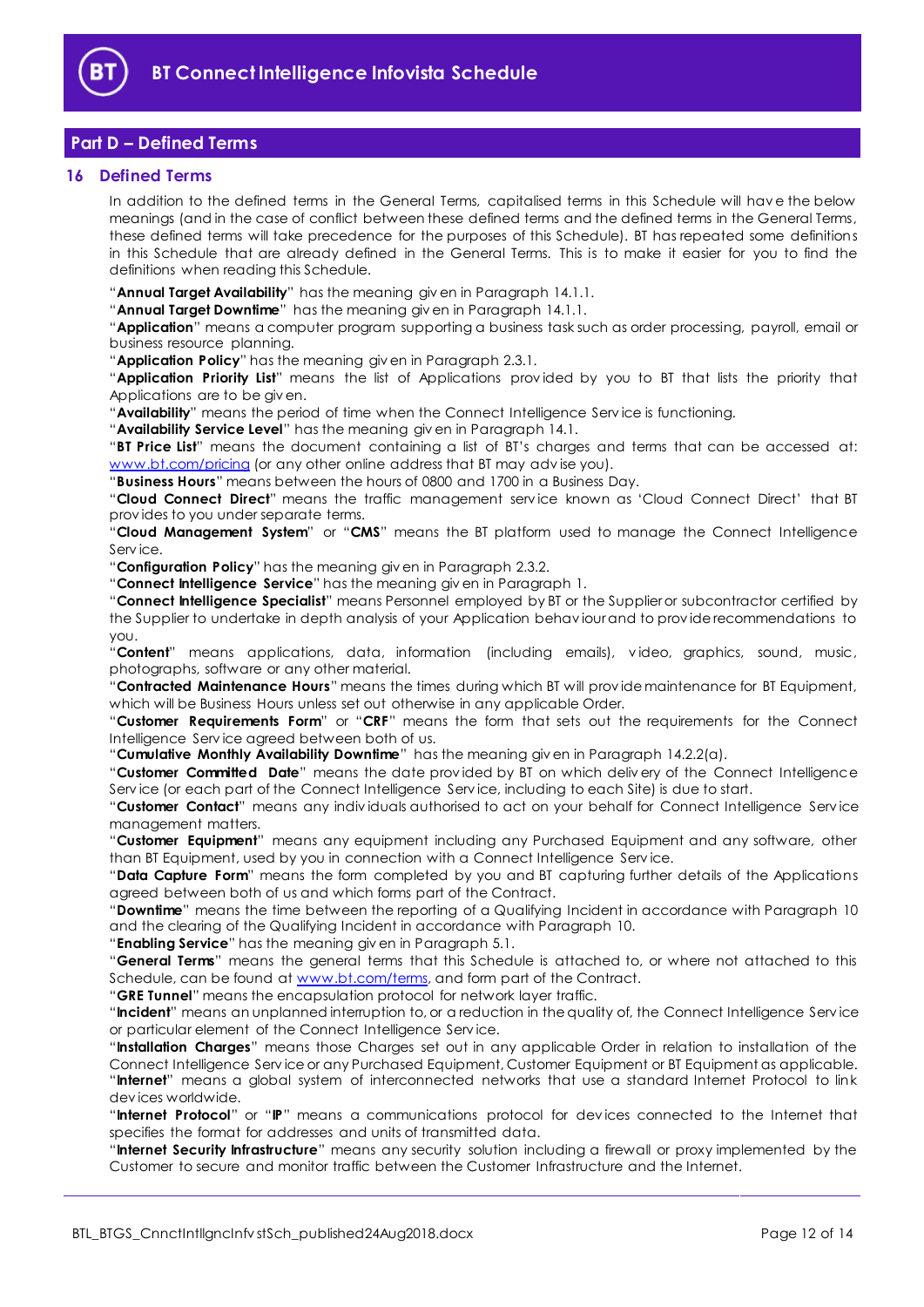

# <span id="page-11-0"></span>**Part D – Defined Terms**

#### <span id="page-11-1"></span>**16 Defined Terms**

In addition to the defined terms in the General Terms, capitalised terms in this Schedule will hav e the below meanings (and in the case of conflict between these defined terms and the defined terms in the General Terms, these defined terms will take precedence for the purposes of this Schedule). BT has repeated some definitions in this Schedule that are already defined in the General Terms. This is to make it easier for you to find the definitions when reading this Schedule.

"**Annual Target Availability**" has the meaning giv en in Paragrap[h 14.1.1.](#page-10-5)

"**Annual Target Downtime**" has the meaning giv en in Paragraph [14.1.1.](#page-10-5)

"**Application**" means a computer program supporting a business task such as order processing, payroll, email or business resource planning.

"**Application Policy**" has the meaning giv en in Paragrap[h 2.3.1.](#page-1-6)

"**Application Priority List**" means the list of Applications prov ided by you to BT that lists the priority that Applications are to be giv en.

"**Availability**" means the period of time when the Connect Intelligence Serv ice is functioning.

"**Availability Service Level**" has the meaning giv en in Paragrap[h 14.1.](#page-10-3)

"**BT Price List**" means the document containing a list of BT's charges and terms that can be accessed at: [www.bt.com/pricing](http://www.bt.com/pricing) (or any other online address that BT may advise you).

"**Business Hours**" means between the hours of 0800 and 1700 in a Business Day.

"**Cloud Connect Direct**" means the traffic management serv ice known as 'Cloud Connect Direct' that BT prov ides to you under separate terms.

"**Cloud Management System**" or "**CMS**" means the BT platform used to manage the Connect Intelligence Serv ice.

"**Configuration Policy**" has the meaning giv en in Paragraph [2.3.2.](#page-1-7)

"**Connect Intelligence Service**" has the meaning giv en in Paragraph [1.](#page-1-3)

"**Connect Intelligence Specialist**" means Personnel employed by BT or the Supplier or subcontractor certified by the Supplier to undertake in depth analysis of your Application behav iour and to prov ide recommendations to you.

"**Content**" means applications, data, information (including emails), v ideo, graphics, sound, music, photographs, software or any other material.

"**Contracted Maintenance Hours**" means the times during which BT will prov ide maintenance for BT Equipment, which will be Business Hours unless set out otherwise in any applicable Order.

"**Customer Requirements Form**" or "**CRF**" means the form that sets out the requirements for the Connect Intelligence Serv ice agreed between both of us.

"**Cumulative Monthly Availability Downtime**" has the meaning giv en in Paragrap[h 14.2.2\(a\).](#page-10-6)

"**Customer Committed Date**" means the date prov ided by BT on which deliv ery of the Connect Intelligence Serv ice (or each part of the Connect Intelligence Serv ice, including to each Site) is due to start.

"**Customer Contact**" means any indiv iduals authorised to act on your behalf for Connect Intelligence Serv ice management matters.

"**Customer Equipment**" means any equipment including any Purchased Equipment and any software, other than BT Equipment, used by you in connection with a Connect Intelligence Serv ice.

"**Data Capture Form**" means the form completed by you and BT capturing further details of the Applications agreed between both of us and which forms part of the Contract.

"**Downtime**" means the time between the reporting of a Qualifying Incident in accordance with Paragraph [10](#page-8-0) and the clearing of the Qualifying Incident in accordance with Paragraph [10.](#page-8-0)

"**Enabling Service**" has the meaning giv en in Paragrap[h 5.1.](#page-2-3)

"**General Terms**" means the general terms that this Schedule is attached to, or where not attached to this Schedule, can be found at [www.bt.com/terms,](http://www.bt.com/terms) and form part of the Contract.

"**GRE Tunnel**" means the encapsulation protocol for network layer traffic.

"**Incident**" means an unplanned interruption to, or a reduction in the quality of, the Connect Intelligence Serv ice or particular element of the Connect Intelligence Serv ice.

"**Installation Charges**" means those Charges set out in any applicable Order in relation to installation of the Connect Intelligence Serv ice or any Purchased Equipment, Customer Equipment or BT Equipment as applicable. "**Internet**" means a global system of interconnected networks that use a standard Internet Protocol to link dev ices worldwide.

"**Internet Protocol**" or "**IP**" means a communications protocol for dev ices connected to the Internet that specifies the format for addresses and units of transmitted data.

"**Internet Security Infrastructure**" means any security solution including a firewall or proxy implemented by the Customer to secure and monitor traffic between the Customer Infrastructure and the Internet.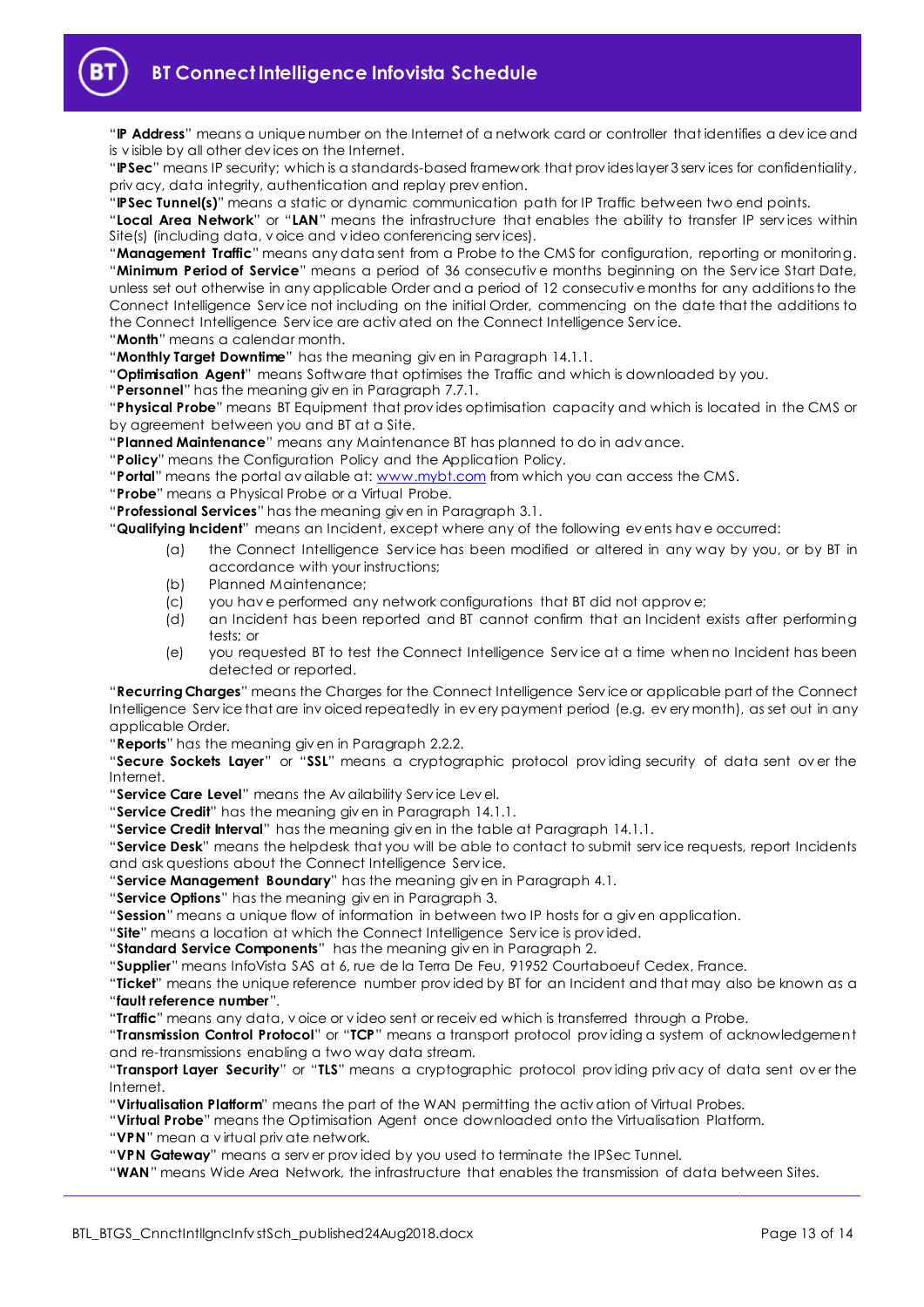

"**IP Address**" means a unique number on the Internet of a network card or controller that identifies a dev ice and is v isible by all other dev ices on the Internet.

"**IPSec**" means IP security; which is a standards-based framework that prov ides layer 3 serv ices for confidentiality, priv acy, data integrity, authentication and replay prev ention.

"**IPSec Tunnel(s)**" means a static or dynamic communication path for IP Traffic between two end points.

"**Local Area Network**" or "**LAN**" means the infrastructure that enables the ability to transfer IP serv ices within Site(s) (including data, v oice and v ideo conferencing serv ices).

"**Management Traffic**" means any data sent from a Probe to the CMS for configuration, reporting or monitoring. "**Minimum Period of Service**" means a period of 36 consecutiv e months beginning on the Serv ice Start Date, unless set out otherwise in any applicable Order and a period of 12 consecutiv e months for any additions to the Connect Intelligence Serv ice not including on the initial Order, commencing on the date that the additions to the Connect Intelligence Serv ice are activ ated on the Connect Intelligence Serv ice.

"**Month**" means a calendar month.

"**Monthly Target Downtime**" has the meaning giv en in Paragraph [14.1.1.](#page-10-5)

"**Optimisation Agent**" means Software that optimises the Traffic and which is downloaded by you.

"**Personnel**" has the meaning giv en in Paragraph [7.7.1.](#page-4-1)

"**Physical Probe**" means BT Equipment that prov ides optimisation capacity and which is located in the CMS or by agreement between you and BT at a Site.

"**Planned Maintenance**" means any Maintenance BT has planned to do in adv ance.

"**Policy**" means the Configuration Policy and the Application Policy.

"**Portal**" means the portal av ailable at[: www.mybt.com](http://www.mybt.com/) from which you can access the CMS.

"**Probe**" means a Physical Probe or a Virtual Probe.

"**Professional Services**" has the meaning giv en in Paragraph [3.1.](#page-1-8)

"**Qualifying Incident**" means an Incident, except where any of the following ev ents hav e occurred:

- (a) the Connect Intelligence Serv ice has been modified or altered in any way by you, or by BT in accordance with your instructions;
- (b) Planned Maintenance;
- (c) you hav e performed any network configurations that BT did not approv e;
- (d) an Incident has been reported and BT cannot confirm that an Incident exists after performing tests; or
- (e) you requested BT to test the Connect Intelligence Serv ice at a time when no Incident has been detected or reported.

"**Recurring Charges**" means the Charges for the Connect Intelligence Serv ice or applicable part of the Connect Intelligence Serv ice that are inv oiced repeatedly in ev ery payment period (e.g. ev ery month), as set out in any applicable Order.

"**Reports**" has the meaning giv en in Paragrap[h 2.2.2.](#page-1-9)

"**Secure Sockets Layer**" or "**SSL**" means a cryptographic protocol prov iding security of data sent ov er the Internet.

"**Service Care Level**" means the Av ailability Serv ice Lev el.

"**Service Credit**" has the meaning giv en in Paragraph [14.1.1.](#page-10-5)

"**Service Credit Interval**" has the meaning giv en in the table at Paragraph [14.1.1.](#page-10-5)

"**Service Desk**" means the helpdesk that you will be able to contact to submit serv ice requests, report Incidents and ask questions about the Connect Intelligence Serv ice.

"**Service Management Boundary**" has the meaning giv en in Paragraph [4.1.](#page-2-4)

"**Service Options**" has the meaning giv en in Paragrap[h 3.](#page-1-5)

"**Session**" means a unique flow of information in between two IP hosts for a giv en application.

"**Site**" means a location at which the Connect Intelligence Serv ice is prov ided.

"**Standard Service Components**" has the meaning giv en in Paragraph [2.](#page-1-4)

"**Supplier**" means InfoVista SAS at 6, rue de la Terra De Feu, 91952 Courtaboeuf Cedex, France.

"**Ticket**" means the unique reference number prov ided by BT for an Incident and that may also be known as a "**fault reference number**".

"**Traffic**" means any data, v oice or v ideo sent or receiv ed which is transferred through a Probe.

"**Transmission Control Protocol**" or "**TCP**" means a transport protocol prov iding a system of acknowledgement and re-transmissions enabling a two way data stream.

"**Transport Layer Security**" or "**TLS**" means a cryptographic protocol prov iding priv acy of data sent ov er the Internet.

"**Virtualisation Platform**" means the part of the WAN permitting the activ ation of Virtual Probes.

"**Virtual Probe**" means the Optimisation Agent once downloaded onto the Virtualisation Platform.

"**VPN**" mean a v irtual priv ate network.

"**VPN Gateway**" means a serv er prov ided by you used to terminate the IPSec Tunnel.

"**WAN**" means Wide Area Network, the infrastructure that enables the transmission of data between Sites.